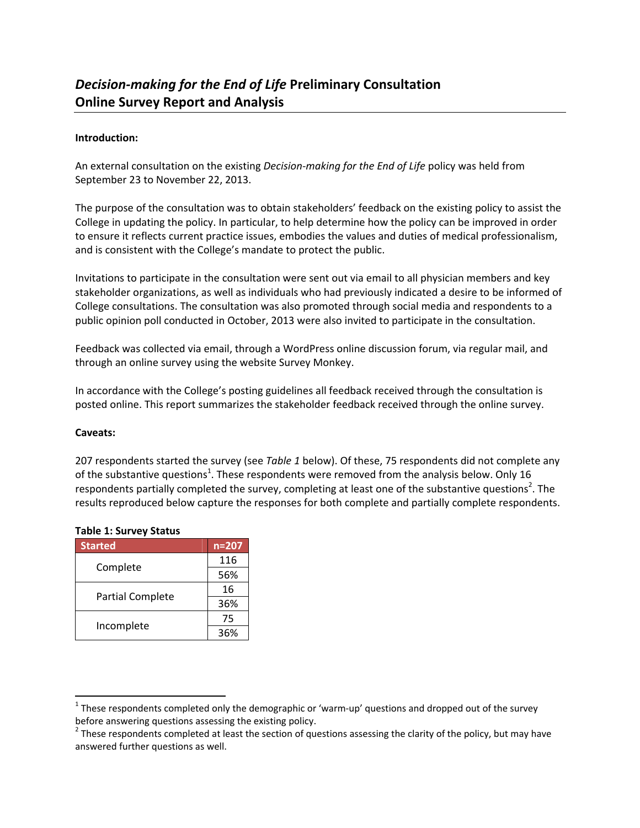## **Introduction:**

An external consultation on the existing *Decision‐making for the End of Life* policy was held from September 23 to November 22, 2013.

The purpose of the consultation was to obtain stakeholders' feedback on the existing policy to assist the College in updating the policy. In particular, to help determine how the policy can be improved in order to ensure it reflects current practice issues, embodies the values and duties of medical professionalism, and is consistent with the College's mandate to protect the public.

Invitations to participate in the consultation were sent out via email to all physician members and key stakeholder organizations, as well as individuals who had previously indicated a desire to be informed of College consultations. The consultation was also promoted through social media and respondents to a public opinion poll conducted in October, 2013 were also invited to participate in the consultation.

Feedback was collected via email, through a WordPress online discussion forum, via regular mail, and through an online survey using the website Survey Monkey.

In accordance with the College's posting guidelines all feedback received through the consultation is posted online. This report summarizes the stakeholder feedback received through the online survey.

### **Caveats:**

207 respondents started the survey (see *Table 1* below). Of these, 75 respondents did not complete any of the substantive questions<sup>1</sup>. These respondents were removed from the analysis below. Only 16 respondents partially completed the survey, completing at least one of the substantive questions<sup>2</sup>. The results reproduced below capture the responses for both complete and partially complete respondents.

| <b>Started</b>          | $n = 207$ |
|-------------------------|-----------|
| Complete                | 116       |
|                         | 56%       |
|                         | 16        |
| <b>Partial Complete</b> | 36%       |
|                         | 75        |
| Incomplete              | 36%       |

### **Table 1: Survey Status**

 $1$  These respondents completed only the demographic or 'warm-up' questions and dropped out of the survey before answering questions assessing the existing policy.<br><sup>2</sup> These respondents completed at least the section of questions assessing the clarity of the policy, but may have

answered further questions as well.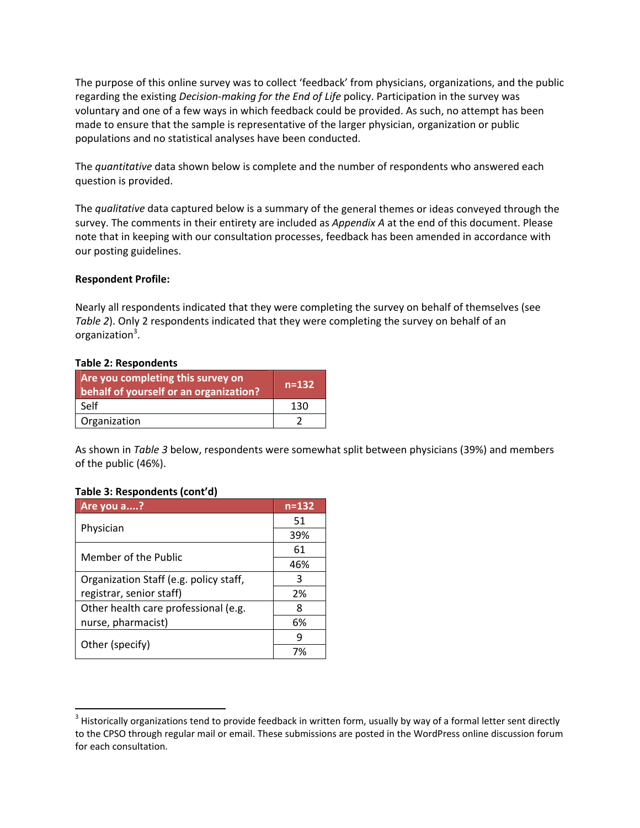The purpose of this online survey was to collect 'feedback' from physicians, organizations, and the public regarding the existing *Decision‐making for the End of Life* policy. Participation in the survey was voluntary and one of a few ways in which feedback could be provided. As such, no attempt has been made to ensure that the sample is representative of the larger physician, organization or public populations and no statistical analyses have been conducted.

The *quantitative* data shown below is complete and the number of respondents who answered each question is provided.

The *qualitative* data captured below is a summary of the general themes or ideas conveyed through the survey. The comments in their entirety are included as *Appendix A* at the end of this document. Please note that in keeping with our consultation processes, feedback has been amended in accordance with our posting guidelines.

#### **Respondent Profile:**

Nearly all respondents indicated that they were completing the survey on behalf of themselves (see *Table 2*). Only 2 respondents indicated that they were completing the survey on behalf of an organization<sup>3</sup>.

#### **Table 2: Respondents**

| Are you completing this survey on<br>behalf of yourself or an organization? | $n=132$ |
|-----------------------------------------------------------------------------|---------|
| Self                                                                        | 130     |
| Organization                                                                |         |

As shown in *Table 3* below, respondents were somewhat split between physicians (39%) and members of the public (46%).

### **Table 3: Respondents (cont'd)**

| Are you a?                             | $n = 132$ |
|----------------------------------------|-----------|
|                                        | 51        |
| Physician                              | 39%       |
| Member of the Public                   | 61        |
|                                        | 46%       |
| Organization Staff (e.g. policy staff, | З         |
| registrar, senior staff)               | 2%        |
| Other health care professional (e.g.   | 8         |
| nurse, pharmacist)                     | 6%        |
|                                        | q         |
| Other (specify)                        | 7%        |

 $3$  Historically organizations tend to provide feedback in written form, usually by way of a formal letter sent directly to the CPSO through regular mail or email. These submissions are posted in the WordPress online discussion forum for each consultation.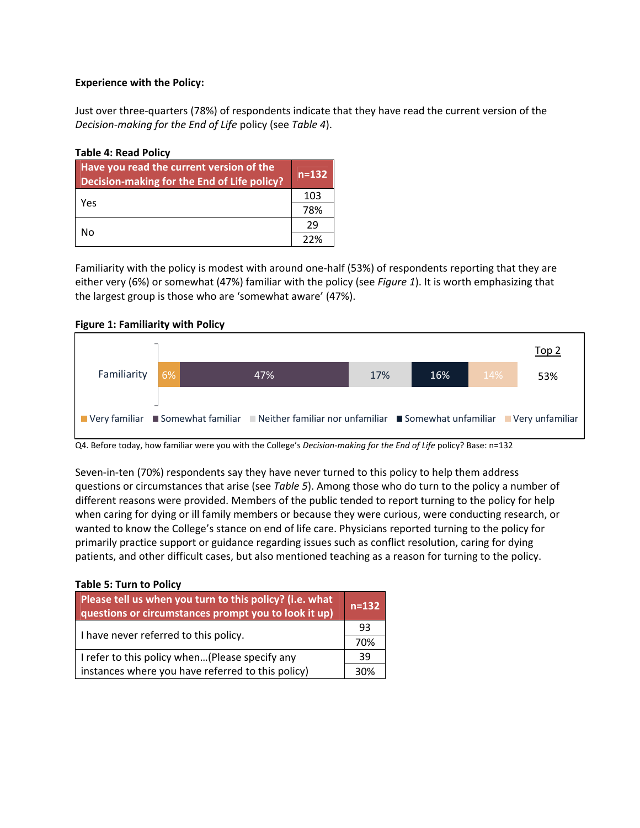## **Experience with the Policy:**

Just over three‐quarters (78%) of respondents indicate that they have read the current version of the *Decision‐making for the End of Life* policy (see *Table 4*).

## **Table 4: Read Policy**

| Have you read the current version of the<br>Decision-making for the End of Life policy? | $n = 132$ |
|-----------------------------------------------------------------------------------------|-----------|
| Yes                                                                                     | 103       |
|                                                                                         | 78%       |
|                                                                                         | 29        |
| No                                                                                      | 22%       |

Familiarity with the policy is modest with around one‐half (53%) of respondents reporting that they are either very (6%) or somewhat (47%) familiar with the policy (see *Figure 1*). It is worth emphasizing that the largest group is those who are 'somewhat aware' (47%).

### **Figure 1: Familiarity with Policy**



Q4. Before today, how familiar were you with the College's *Decision‐making for the End of Life* policy? Base: n=132

Seven-in-ten (70%) respondents say they have never turned to this policy to help them address questions or circumstances that arise (see *Table 5*). Among those who do turn to the policy a number of different reasons were provided. Members of the public tended to report turning to the policy for help when caring for dying or ill family members or because they were curious, were conducting research, or wanted to know the College's stance on end of life care. Physicians reported turning to the policy for primarily practice support or guidance regarding issues such as conflict resolution, caring for dying patients, and other difficult cases, but also mentioned teaching as a reason for turning to the policy.

### **Table 5: Turn to Policy**

| Please tell us when you turn to this policy? (i.e. what<br>questions or circumstances prompt you to look it up) | $n = 132$ |
|-----------------------------------------------------------------------------------------------------------------|-----------|
|                                                                                                                 | 93        |
| I have never referred to this policy.                                                                           |           |
| I refer to this policy when(Please specify any                                                                  | 39        |
| instances where you have referred to this policy)                                                               | 30%       |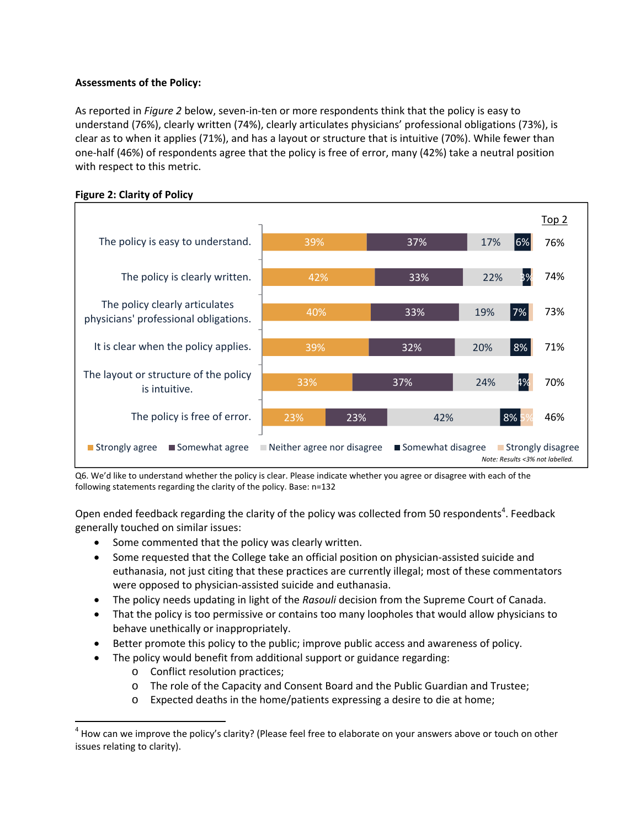# **Assessments of the Policy:**

As reported in *Figure 2* below, seven‐in‐ten or more respondents think that the policy is easy to understand (76%), clearly written (74%), clearly articulates physicians' professional obligations (73%), is clear as to when it applies (71%), and has a layout or structure that is intuitive (70%). While fewer than one‐half (46%) of respondents agree that the policy is free of error, many (42%) take a neutral position with respect to this metric.





Q6. We'd like to understand whether the policy is clear. Please indicate whether you agree or disagree with each of the following statements regarding the clarity of the policy. Base: n=132

Open ended feedback regarding the clarity of the policy was collected from 50 respondents<sup>4</sup>. Feedback generally touched on similar issues:

- Some commented that the policy was clearly written.
- Some requested that the College take an official position on physician-assisted suicide and euthanasia, not just citing that these practices are currently illegal; most of these commentators were opposed to physician‐assisted suicide and euthanasia.
- The policy needs updating in light of the *Rasouli* decision from the Supreme Court of Canada.
- That the policy is too permissive or contains too many loopholes that would allow physicians to behave unethically or inappropriately.
- Better promote this policy to the public; improve public access and awareness of policy.
- The policy would benefit from additional support or guidance regarding:
	- o Conflict resolution practices;

- o The role of the Capacity and Consent Board and the Public Guardian and Trustee;
- o Expected deaths in the home/patients expressing a desire to die at home;

 $^4$  How can we improve the policy's clarity? (Please feel free to elaborate on your answers above or touch on other issues relating to clarity).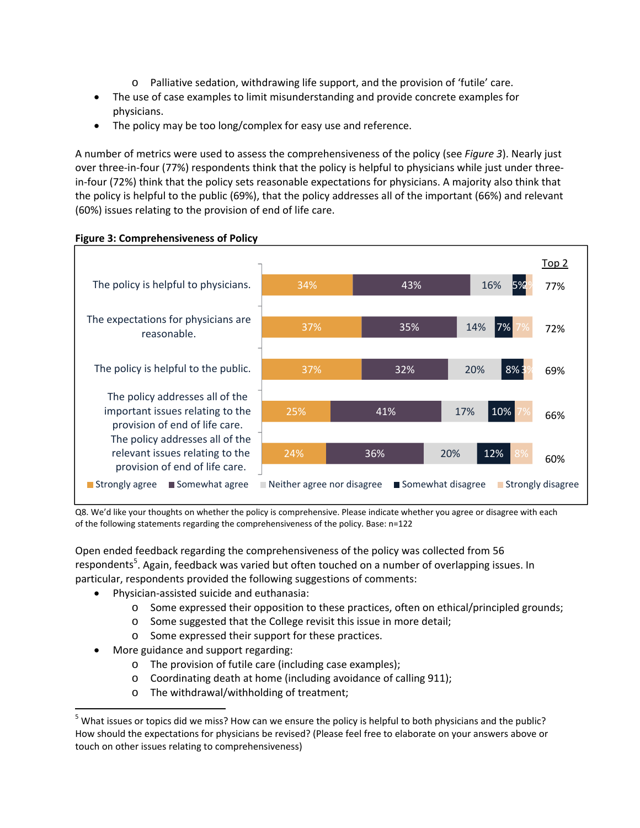- o Palliative sedation, withdrawing life support, and the provision of 'futile' care.
- The use of case examples to limit misunderstanding and provide concrete examples for physicians.
- The policy may be too long/complex for easy use and reference.

A number of metrics were used to assess the comprehensiveness of the policy (see *Figure 3*). Nearly just over three-in-four (77%) respondents think that the policy is helpful to physicians while just under threein-four (72%) think that the policy sets reasonable expectations for physicians. A majority also think that the policy is helpful to the public (69%), that the policy addresses all of the important (66%) and relevant (60%) issues relating to the provision of end of life care.



### **Figure 3: Comprehensiveness of Policy**

Q8. We'd like your thoughts on whether the policy is comprehensive. Please indicate whether you agree or disagree with each of the following statements regarding the comprehensiveness of the policy. Base: n=122

Open ended feedback regarding the comprehensiveness of the policy was collected from 56 respondents<sup>5</sup>. Again, feedback was varied but often touched on a number of overlapping issues. In particular, respondents provided the following suggestions of comments:

- Physician-assisted suicide and euthanasia:
	- o Some expressed their opposition to these practices, often on ethical/principled grounds;
	- o Some suggested that the College revisit this issue in more detail;
	- o Some expressed their support for these practices.
- More guidance and support regarding:

- o The provision of futile care (including case examples);
- o Coordinating death at home (including avoidance of calling 911);
- o The withdrawal/withholding of treatment;

 $5$  What issues or topics did we miss? How can we ensure the policy is helpful to both physicians and the public? How should the expectations for physicians be revised? (Please feel free to elaborate on your answers above or touch on other issues relating to comprehensiveness)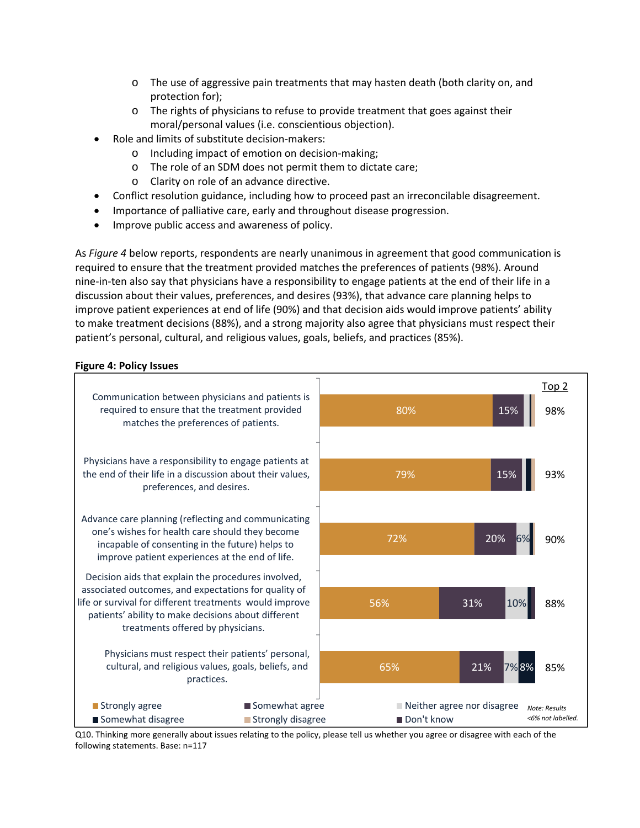- $\circ$  The use of aggressive pain treatments that may hasten death (both clarity on, and protection for);
- o The rights of physicians to refuse to provide treatment that goes against their moral/personal values (i.e. conscientious objection).
- Role and limits of substitute decision‐makers:
	- o Including impact of emotion on decision‐making;
	- o The role of an SDM does not permit them to dictate care;
	- o Clarity on role of an advance directive.
- Conflict resolution guidance, including how to proceed past an irreconcilable disagreement.
- Importance of palliative care, early and throughout disease progression.
- Improve public access and awareness of policy.

As *Figure 4* below reports, respondents are nearly unanimous in agreement that good communication is required to ensure that the treatment provided matches the preferences of patients (98%). Around nine‐in‐ten also say that physicians have a responsibility to engage patients at the end of their life in a discussion about their values, preferences, and desires (93%), that advance care planning helps to improve patient experiences at end of life (90%) and that decision aids would improve patients' ability to make treatment decisions (88%), and a strong majority also agree that physicians must respect their patient's personal, cultural, and religious values, goals, beliefs, and practices (85%).

# **Figure 4: Policy Issues**



Q10. Thinking more generally about issues relating to the policy, please tell us whether you agree or disagree with each of the following statements. Base: n=117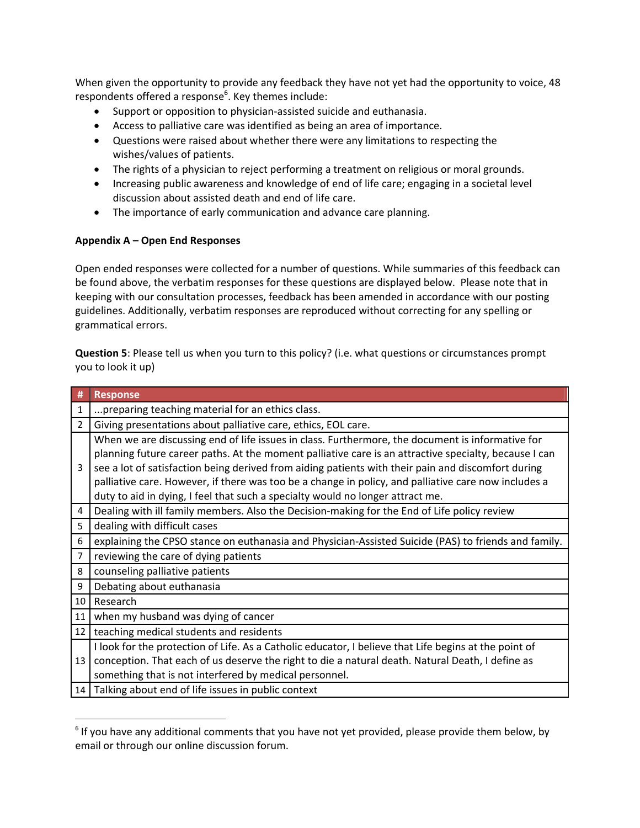When given the opportunity to provide any feedback they have not yet had the opportunity to voice, 48 respondents offered a response<sup>6</sup>. Key themes include:

- Support or opposition to physician-assisted suicide and euthanasia.
- Access to palliative care was identified as being an area of importance.
- Questions were raised about whether there were any limitations to respecting the wishes/values of patients.
- The rights of a physician to reject performing a treatment on religious or moral grounds.
- Increasing public awareness and knowledge of end of life care; engaging in a societal level discussion about assisted death and end of life care.
- The importance of early communication and advance care planning.

### **Appendix A – Open End Responses**

Open ended responses were collected for a number of questions. While summaries of this feedback can be found above, the verbatim responses for these questions are displayed below. Please note that in keeping with our consultation processes, feedback has been amended in accordance with our posting guidelines. Additionally, verbatim responses are reproduced without correcting for any spelling or grammatical errors.

**Question 5**: Please tell us when you turn to this policy? (i.e. what questions or circumstances prompt you to look it up)

| #               | <b>Response</b>                                                                                                                                                                                                                                                                                                                                                                                                                                                                                           |
|-----------------|-----------------------------------------------------------------------------------------------------------------------------------------------------------------------------------------------------------------------------------------------------------------------------------------------------------------------------------------------------------------------------------------------------------------------------------------------------------------------------------------------------------|
| 1               | preparing teaching material for an ethics class.                                                                                                                                                                                                                                                                                                                                                                                                                                                          |
| 2               | Giving presentations about palliative care, ethics, EOL care.                                                                                                                                                                                                                                                                                                                                                                                                                                             |
| 3               | When we are discussing end of life issues in class. Furthermore, the document is informative for<br>planning future career paths. At the moment palliative care is an attractive specialty, because I can<br>see a lot of satisfaction being derived from aiding patients with their pain and discomfort during<br>palliative care. However, if there was too be a change in policy, and palliative care now includes a<br>duty to aid in dying, I feel that such a specialty would no longer attract me. |
| 4               | Dealing with ill family members. Also the Decision-making for the End of Life policy review                                                                                                                                                                                                                                                                                                                                                                                                               |
| 5               | dealing with difficult cases                                                                                                                                                                                                                                                                                                                                                                                                                                                                              |
| 6               | explaining the CPSO stance on euthanasia and Physician-Assisted Suicide (PAS) to friends and family.                                                                                                                                                                                                                                                                                                                                                                                                      |
| 7               | reviewing the care of dying patients                                                                                                                                                                                                                                                                                                                                                                                                                                                                      |
| 8               | counseling palliative patients                                                                                                                                                                                                                                                                                                                                                                                                                                                                            |
| 9               | Debating about euthanasia                                                                                                                                                                                                                                                                                                                                                                                                                                                                                 |
| 10 <sup>1</sup> | Research                                                                                                                                                                                                                                                                                                                                                                                                                                                                                                  |
| 11              | when my husband was dying of cancer                                                                                                                                                                                                                                                                                                                                                                                                                                                                       |
| 12 <sub>1</sub> | teaching medical students and residents                                                                                                                                                                                                                                                                                                                                                                                                                                                                   |
| 13              | I look for the protection of Life. As a Catholic educator, I believe that Life begins at the point of<br>conception. That each of us deserve the right to die a natural death. Natural Death, I define as<br>something that is not interfered by medical personnel.                                                                                                                                                                                                                                       |
| 14              | Talking about end of life issues in public context                                                                                                                                                                                                                                                                                                                                                                                                                                                        |

 $6$  If you have any additional comments that you have not yet provided, please provide them below, by email or through our online discussion forum.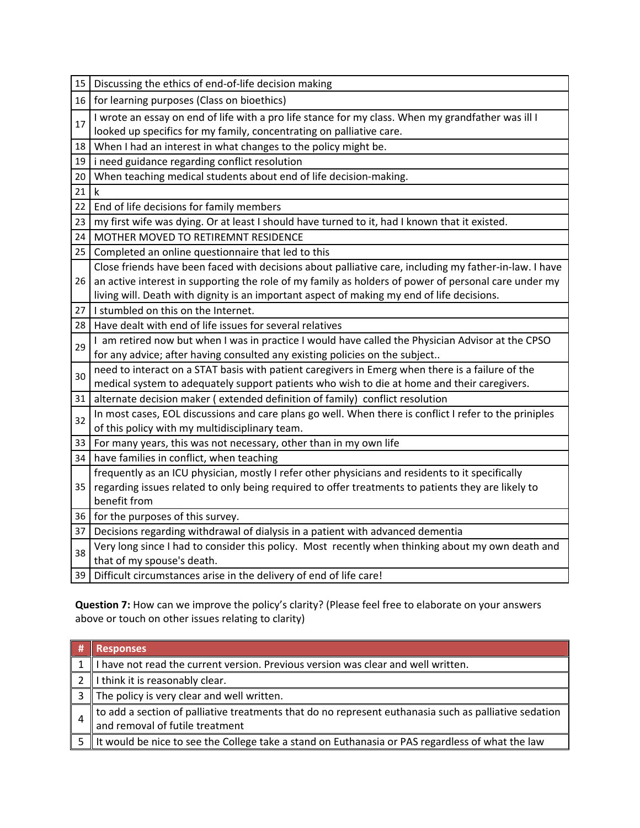| 15 | Discussing the ethics of end-of-life decision making                                                                            |
|----|---------------------------------------------------------------------------------------------------------------------------------|
| 16 | for learning purposes (Class on bioethics)                                                                                      |
| 17 | I wrote an essay on end of life with a pro life stance for my class. When my grandfather was ill I                              |
|    | looked up specifics for my family, concentrating on palliative care.                                                            |
| 18 | When I had an interest in what changes to the policy might be.                                                                  |
| 19 | i need guidance regarding conflict resolution                                                                                   |
| 20 | When teaching medical students about end of life decision-making.                                                               |
| 21 | $\mathsf k$                                                                                                                     |
| 22 | End of life decisions for family members                                                                                        |
| 23 | my first wife was dying. Or at least I should have turned to it, had I known that it existed.                                   |
| 24 | MOTHER MOVED TO RETIREMNT RESIDENCE                                                                                             |
| 25 | Completed an online questionnaire that led to this                                                                              |
|    | Close friends have been faced with decisions about palliative care, including my father-in-law. I have                          |
| 26 | an active interest in supporting the role of my family as holders of power of personal care under my                            |
|    | living will. Death with dignity is an important aspect of making my end of life decisions.                                      |
| 27 | I stumbled on this on the Internet.                                                                                             |
| 28 | Have dealt with end of life issues for several relatives                                                                        |
| 29 | I am retired now but when I was in practice I would have called the Physician Advisor at the CPSO                               |
|    | for any advice; after having consulted any existing policies on the subject                                                     |
| 30 | need to interact on a STAT basis with patient caregivers in Emerg when there is a failure of the                                |
|    | medical system to adequately support patients who wish to die at home and their caregivers.                                     |
| 31 | alternate decision maker (extended definition of family) conflict resolution                                                    |
| 32 | In most cases, EOL discussions and care plans go well. When there is conflict I refer to the priniples                          |
|    | of this policy with my multidisciplinary team.                                                                                  |
| 33 | For many years, this was not necessary, other than in my own life                                                               |
| 34 | have families in conflict, when teaching                                                                                        |
|    | frequently as an ICU physician, mostly I refer other physicians and residents to it specifically                                |
| 35 | regarding issues related to only being required to offer treatments to patients they are likely to                              |
|    | benefit from                                                                                                                    |
| 36 | for the purposes of this survey.                                                                                                |
| 37 | Decisions regarding withdrawal of dialysis in a patient with advanced dementia                                                  |
| 38 | Very long since I had to consider this policy. Most recently when thinking about my own death and<br>that of my spouse's death. |
| 39 | Difficult circumstances arise in the delivery of end of life care!                                                              |
|    |                                                                                                                                 |

**Question 7:** How can we improve the policy's clarity? (Please feel free to elaborate on your answers above or touch on other issues relating to clarity)

|  | <b>Responses</b>                                                                                      |
|--|-------------------------------------------------------------------------------------------------------|
|  | I have not read the current version. Previous version was clear and well written.                     |
|  | I think it is reasonably clear.                                                                       |
|  | The policy is very clear and well written.                                                            |
|  | to add a section of palliative treatments that do no represent euthanasia such as palliative sedation |
|  | and removal of futile treatment                                                                       |
|  | It would be nice to see the College take a stand on Euthanasia or PAS regardless of what the law      |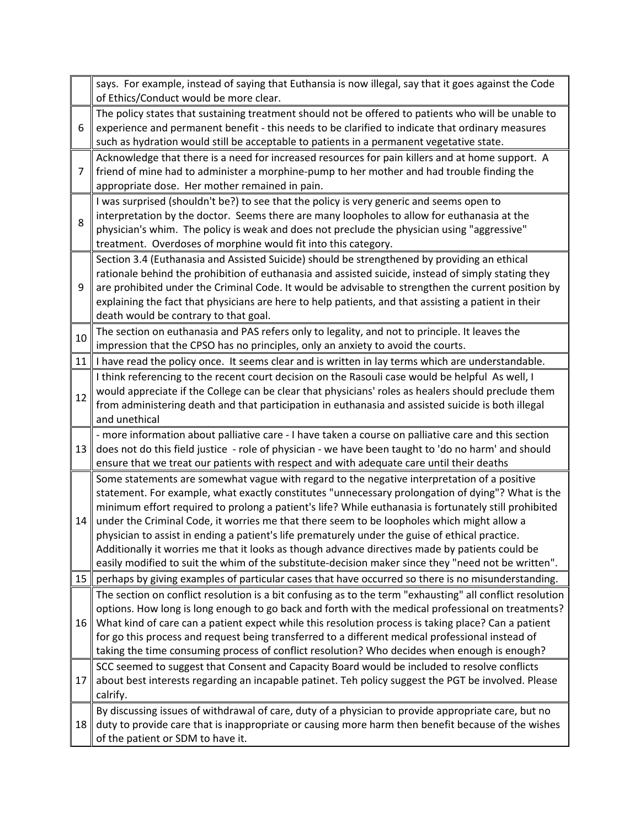|      | says. For example, instead of saying that Euthansia is now illegal, say that it goes against the Code<br>of Ethics/Conduct would be more clear.                                                                                                                                                                                                                                                                                                             |
|------|-------------------------------------------------------------------------------------------------------------------------------------------------------------------------------------------------------------------------------------------------------------------------------------------------------------------------------------------------------------------------------------------------------------------------------------------------------------|
| 6    | The policy states that sustaining treatment should not be offered to patients who will be unable to<br>experience and permanent benefit - this needs to be clarified to indicate that ordinary measures<br>such as hydration would still be acceptable to patients in a permanent vegetative state.                                                                                                                                                         |
| 7    | Acknowledge that there is a need for increased resources for pain killers and at home support. A<br>friend of mine had to administer a morphine-pump to her mother and had trouble finding the<br>appropriate dose. Her mother remained in pain.                                                                                                                                                                                                            |
| 8    | I was surprised (shouldn't be?) to see that the policy is very generic and seems open to<br>interpretation by the doctor. Seems there are many loopholes to allow for euthanasia at the<br>physician's whim. The policy is weak and does not preclude the physician using "aggressive"<br>treatment. Overdoses of morphine would fit into this category.                                                                                                    |
| 9    | Section 3.4 (Euthanasia and Assisted Suicide) should be strengthened by providing an ethical<br>rationale behind the prohibition of euthanasia and assisted suicide, instead of simply stating they<br>are prohibited under the Criminal Code. It would be advisable to strengthen the current position by<br>explaining the fact that physicians are here to help patients, and that assisting a patient in their<br>death would be contrary to that goal. |
| 10   | The section on euthanasia and PAS refers only to legality, and not to principle. It leaves the<br>impression that the CPSO has no principles, only an anxiety to avoid the courts.                                                                                                                                                                                                                                                                          |
| 11   | I have read the policy once. It seems clear and is written in lay terms which are understandable.                                                                                                                                                                                                                                                                                                                                                           |
|      | I think referencing to the recent court decision on the Rasouli case would be helpful As well, I                                                                                                                                                                                                                                                                                                                                                            |
| 12   | would appreciate if the College can be clear that physicians' roles as healers should preclude them                                                                                                                                                                                                                                                                                                                                                         |
|      | from administering death and that participation in euthanasia and assisted suicide is both illegal                                                                                                                                                                                                                                                                                                                                                          |
|      | and unethical                                                                                                                                                                                                                                                                                                                                                                                                                                               |
| 13   | - more information about palliative care - I have taken a course on palliative care and this section<br>does not do this field justice - role of physician - we have been taught to 'do no harm' and should                                                                                                                                                                                                                                                 |
|      | ensure that we treat our patients with respect and with adequate care until their deaths                                                                                                                                                                                                                                                                                                                                                                    |
|      | Some statements are somewhat vague with regard to the negative interpretation of a positive                                                                                                                                                                                                                                                                                                                                                                 |
|      | statement. For example, what exactly constitutes "unnecessary prolongation of dying"? What is the                                                                                                                                                                                                                                                                                                                                                           |
|      | minimum effort required to prolong a patient's life? While euthanasia is fortunately still prohibited                                                                                                                                                                                                                                                                                                                                                       |
| 14   | under the Criminal Code, it worries me that there seem to be loopholes which might allow a                                                                                                                                                                                                                                                                                                                                                                  |
|      | physician to assist in ending a patient's life prematurely under the guise of ethical practice.<br>Additionally it worries me that it looks as though advance directives made by patients could be                                                                                                                                                                                                                                                          |
|      | easily modified to suit the whim of the substitute-decision maker since they "need not be written".                                                                                                                                                                                                                                                                                                                                                         |
| 15 I | perhaps by giving examples of particular cases that have occurred so there is no misunderstanding.                                                                                                                                                                                                                                                                                                                                                          |
|      | The section on conflict resolution is a bit confusing as to the term "exhausting" all conflict resolution                                                                                                                                                                                                                                                                                                                                                   |
|      | options. How long is long enough to go back and forth with the medical professional on treatments?                                                                                                                                                                                                                                                                                                                                                          |
| 16   | What kind of care can a patient expect while this resolution process is taking place? Can a patient                                                                                                                                                                                                                                                                                                                                                         |
|      | for go this process and request being transferred to a different medical professional instead of                                                                                                                                                                                                                                                                                                                                                            |
|      | taking the time consuming process of conflict resolution? Who decides when enough is enough?                                                                                                                                                                                                                                                                                                                                                                |
| 17   | SCC seemed to suggest that Consent and Capacity Board would be included to resolve conflicts<br>about best interests regarding an incapable patinet. Teh policy suggest the PGT be involved. Please                                                                                                                                                                                                                                                         |
|      | calrify.                                                                                                                                                                                                                                                                                                                                                                                                                                                    |
|      | By discussing issues of withdrawal of care, duty of a physician to provide appropriate care, but no                                                                                                                                                                                                                                                                                                                                                         |
| 18   | duty to provide care that is inappropriate or causing more harm then benefit because of the wishes                                                                                                                                                                                                                                                                                                                                                          |
|      | of the patient or SDM to have it.                                                                                                                                                                                                                                                                                                                                                                                                                           |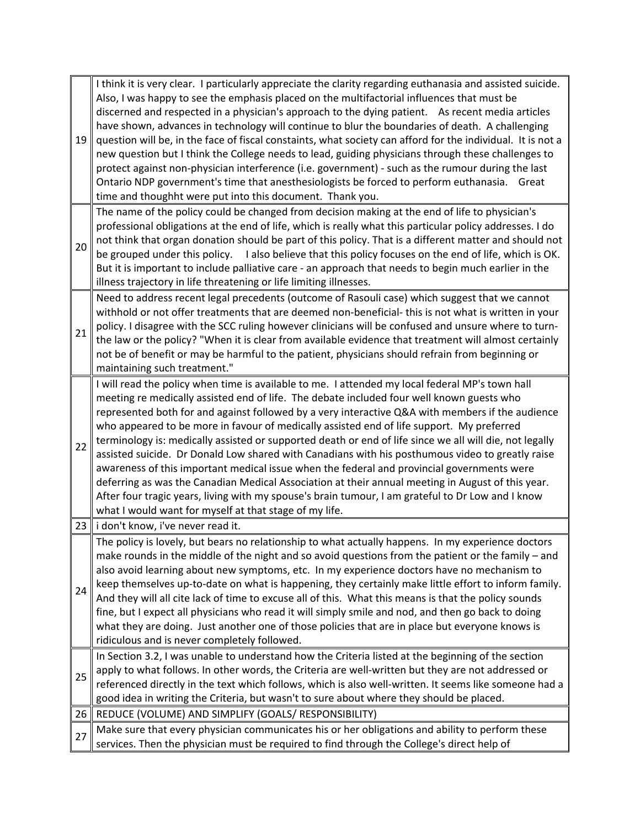| 19 | I think it is very clear. I particularly appreciate the clarity regarding euthanasia and assisted suicide.<br>Also, I was happy to see the emphasis placed on the multifactorial influences that must be<br>discerned and respected in a physician's approach to the dying patient. As recent media articles<br>have shown, advances in technology will continue to blur the boundaries of death. A challenging<br>question will be, in the face of fiscal constaints, what society can afford for the individual. It is not a<br>new question but I think the College needs to lead, guiding physicians through these challenges to<br>protect against non-physician interference (i.e. government) - such as the rumour during the last                                                                                                                                                                                                                                      |
|----|--------------------------------------------------------------------------------------------------------------------------------------------------------------------------------------------------------------------------------------------------------------------------------------------------------------------------------------------------------------------------------------------------------------------------------------------------------------------------------------------------------------------------------------------------------------------------------------------------------------------------------------------------------------------------------------------------------------------------------------------------------------------------------------------------------------------------------------------------------------------------------------------------------------------------------------------------------------------------------|
|    | Ontario NDP government's time that anesthesiologists be forced to perform euthanasia. Great<br>time and thoughht were put into this document. Thank you.                                                                                                                                                                                                                                                                                                                                                                                                                                                                                                                                                                                                                                                                                                                                                                                                                       |
| 20 | The name of the policy could be changed from decision making at the end of life to physician's<br>professional obligations at the end of life, which is really what this particular policy addresses. I do<br>not think that organ donation should be part of this policy. That is a different matter and should not<br>be grouped under this policy. I also believe that this policy focuses on the end of life, which is OK.<br>But it is important to include palliative care - an approach that needs to begin much earlier in the<br>illness trajectory in life threatening or life limiting illnesses.                                                                                                                                                                                                                                                                                                                                                                   |
| 21 | Need to address recent legal precedents (outcome of Rasouli case) which suggest that we cannot<br>withhold or not offer treatments that are deemed non-beneficial- this is not what is written in your<br>policy. I disagree with the SCC ruling however clinicians will be confused and unsure where to turn-<br>the law or the policy? "When it is clear from available evidence that treatment will almost certainly<br>not be of benefit or may be harmful to the patient, physicians should refrain from beginning or<br>maintaining such treatment."                                                                                                                                                                                                                                                                                                                                                                                                                     |
| 22 | I will read the policy when time is available to me. I attended my local federal MP's town hall<br>meeting re medically assisted end of life. The debate included four well known guests who<br>represented both for and against followed by a very interactive Q&A with members if the audience<br>who appeared to be more in favour of medically assisted end of life support. My preferred<br>terminology is: medically assisted or supported death or end of life since we all will die, not legally<br>assisted suicide. Dr Donald Low shared with Canadians with his posthumous video to greatly raise<br>awareness of this important medical issue when the federal and provincial governments were<br>deferring as was the Canadian Medical Association at their annual meeting in August of this year.<br>After four tragic years, living with my spouse's brain tumour, I am grateful to Dr Low and I know<br>what I would want for myself at that stage of my life. |
|    | 23 i don't know, i've never read it.                                                                                                                                                                                                                                                                                                                                                                                                                                                                                                                                                                                                                                                                                                                                                                                                                                                                                                                                           |
| 24 | The policy is lovely, but bears no relationship to what actually happens. In my experience doctors<br>make rounds in the middle of the night and so avoid questions from the patient or the family $-$ and<br>also avoid learning about new symptoms, etc. In my experience doctors have no mechanism to<br>keep themselves up-to-date on what is happening, they certainly make little effort to inform family.<br>And they will all cite lack of time to excuse all of this. What this means is that the policy sounds<br>fine, but I expect all physicians who read it will simply smile and nod, and then go back to doing<br>what they are doing. Just another one of those policies that are in place but everyone knows is<br>ridiculous and is never completely followed.                                                                                                                                                                                              |
| 25 | In Section 3.2, I was unable to understand how the Criteria listed at the beginning of the section<br>apply to what follows. In other words, the Criteria are well-written but they are not addressed or<br>referenced directly in the text which follows, which is also well-written. It seems like someone had a<br>good idea in writing the Criteria, but wasn't to sure about where they should be placed.                                                                                                                                                                                                                                                                                                                                                                                                                                                                                                                                                                 |
| 26 | REDUCE (VOLUME) AND SIMPLIFY (GOALS/ RESPONSIBILITY)                                                                                                                                                                                                                                                                                                                                                                                                                                                                                                                                                                                                                                                                                                                                                                                                                                                                                                                           |
| 27 | Make sure that every physician communicates his or her obligations and ability to perform these<br>services. Then the physician must be required to find through the College's direct help of                                                                                                                                                                                                                                                                                                                                                                                                                                                                                                                                                                                                                                                                                                                                                                                  |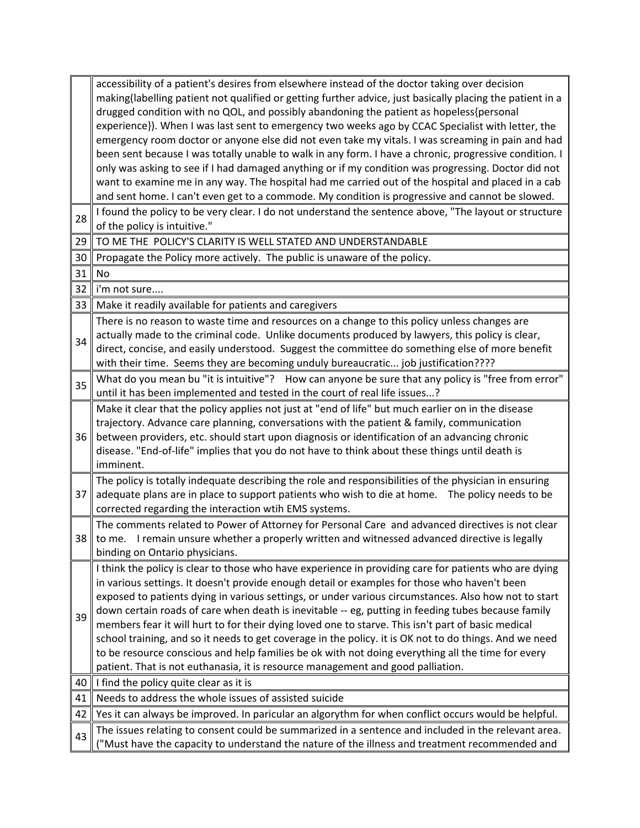|    | accessibility of a patient's desires from elsewhere instead of the doctor taking over decision                                                                                                             |
|----|------------------------------------------------------------------------------------------------------------------------------------------------------------------------------------------------------------|
|    | making(labelling patient not qualified or getting further advice, just basically placing the patient in a                                                                                                  |
|    | drugged condition with no QOL, and possibly abandoning the patient as hopeless{personal                                                                                                                    |
|    | experience}). When I was last sent to emergency two weeks ago by CCAC Specialist with letter, the                                                                                                          |
|    | emergency room doctor or anyone else did not even take my vitals. I was screaming in pain and had                                                                                                          |
|    | been sent because I was totally unable to walk in any form. I have a chronic, progressive condition. I                                                                                                     |
|    | only was asking to see if I had damaged anything or if my condition was progressing. Doctor did not                                                                                                        |
|    | want to examine me in any way. The hospital had me carried out of the hospital and placed in a cab                                                                                                         |
|    | and sent home. I can't even get to a commode. My condition is progressive and cannot be slowed.                                                                                                            |
| 28 | I found the policy to be very clear. I do not understand the sentence above, "The layout or structure                                                                                                      |
|    | of the policy is intuitive."                                                                                                                                                                               |
| 29 | TO ME THE POLICY'S CLARITY IS WELL STATED AND UNDERSTANDABLE                                                                                                                                               |
| 30 | Propagate the Policy more actively. The public is unaware of the policy.                                                                                                                                   |
| 31 | No                                                                                                                                                                                                         |
| 32 | i'm not sure                                                                                                                                                                                               |
| 33 | Make it readily available for patients and caregivers                                                                                                                                                      |
|    | There is no reason to waste time and resources on a change to this policy unless changes are                                                                                                               |
| 34 | actually made to the criminal code. Unlike documents produced by lawyers, this policy is clear,                                                                                                            |
|    | direct, concise, and easily understood. Suggest the committee do something else of more benefit                                                                                                            |
|    | with their time. Seems they are becoming unduly bureaucratic job justification????                                                                                                                         |
| 35 | What do you mean bu "it is intuitive"? How can anyone be sure that any policy is "free from error"                                                                                                         |
|    | until it has been implemented and tested in the court of real life issues?                                                                                                                                 |
|    | Make it clear that the policy applies not just at "end of life" but much earlier on in the disease                                                                                                         |
|    | trajectory. Advance care planning, conversations with the patient & family, communication                                                                                                                  |
| 36 | between providers, etc. should start upon diagnosis or identification of an advancing chronic                                                                                                              |
|    | disease. "End-of-life" implies that you do not have to think about these things until death is                                                                                                             |
|    | imminent.                                                                                                                                                                                                  |
|    | The policy is totally indequate describing the role and responsibilities of the physician in ensuring                                                                                                      |
| 37 | adequate plans are in place to support patients who wish to die at home. The policy needs to be                                                                                                            |
|    | corrected regarding the interaction wtih EMS systems.                                                                                                                                                      |
|    | The comments related to Power of Attorney for Personal Care and advanced directives is not clear                                                                                                           |
| 38 | to me. I remain unsure whether a properly written and witnessed advanced directive is legally                                                                                                              |
|    | binding on Ontario physicians.                                                                                                                                                                             |
|    | I think the policy is clear to those who have experience in providing care for patients who are dying                                                                                                      |
|    | in various settings. It doesn't provide enough detail or examples for those who haven't been                                                                                                               |
|    | exposed to patients dying in various settings, or under various circumstances. Also how not to start<br>down certain roads of care when death is inevitable -- eg, putting in feeding tubes because family |
| 39 | members fear it will hurt to for their dying loved one to starve. This isn't part of basic medical                                                                                                         |
|    | school training, and so it needs to get coverage in the policy. it is OK not to do things. And we need                                                                                                     |
|    | to be resource conscious and help families be ok with not doing everything all the time for every                                                                                                          |
|    | patient. That is not euthanasia, it is resource management and good palliation.                                                                                                                            |
| 40 | I find the policy quite clear as it is                                                                                                                                                                     |
| 41 | Needs to address the whole issues of assisted suicide                                                                                                                                                      |
| 42 | Yes it can always be improved. In paricular an algorythm for when conflict occurs would be helpful.                                                                                                        |
|    | The issues relating to consent could be summarized in a sentence and included in the relevant area.                                                                                                        |
| 43 | "Must have the capacity to understand the nature of the illness and treatment recommended and                                                                                                              |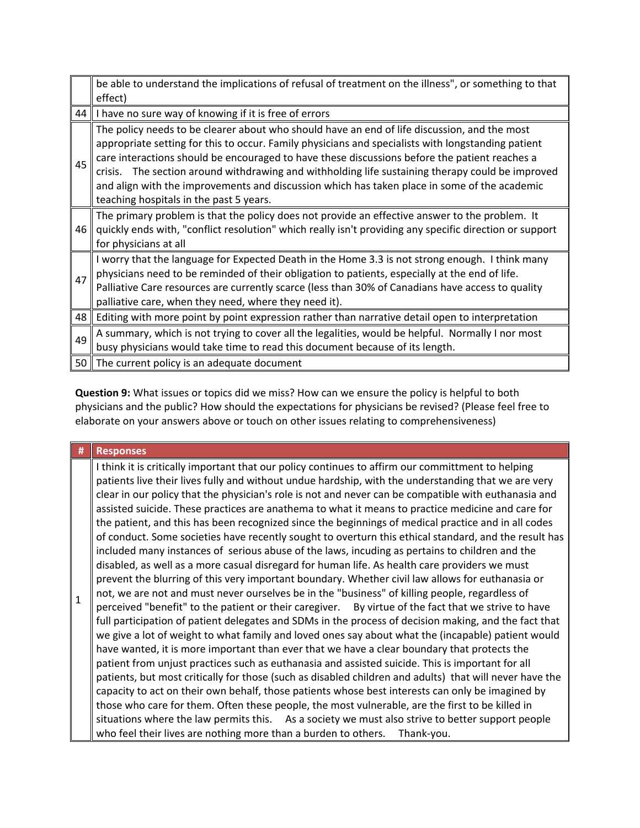|                 | be able to understand the implications of refusal of treatment on the illness", or something to that<br>effect)                                                                                                                                                                                                                                                                                                                                                                                                                                       |
|-----------------|-------------------------------------------------------------------------------------------------------------------------------------------------------------------------------------------------------------------------------------------------------------------------------------------------------------------------------------------------------------------------------------------------------------------------------------------------------------------------------------------------------------------------------------------------------|
| 44              | I have no sure way of knowing if it is free of errors                                                                                                                                                                                                                                                                                                                                                                                                                                                                                                 |
| 45              | The policy needs to be clearer about who should have an end of life discussion, and the most<br>appropriate setting for this to occur. Family physicians and specialists with longstanding patient<br>care interactions should be encouraged to have these discussions before the patient reaches a<br>The section around withdrawing and withholding life sustaining therapy could be improved<br>crisis.<br>and align with the improvements and discussion which has taken place in some of the academic<br>teaching hospitals in the past 5 years. |
| 46              | The primary problem is that the policy does not provide an effective answer to the problem. It<br>quickly ends with, "conflict resolution" which really isn't providing any specific direction or support<br>for physicians at all                                                                                                                                                                                                                                                                                                                    |
| 47              | I worry that the language for Expected Death in the Home 3.3 is not strong enough. I think many<br>physicians need to be reminded of their obligation to patients, especially at the end of life.<br>Palliative Care resources are currently scarce (less than 30% of Canadians have access to quality<br>palliative care, when they need, where they need it).                                                                                                                                                                                       |
| 48              | Editing with more point by point expression rather than narrative detail open to interpretation                                                                                                                                                                                                                                                                                                                                                                                                                                                       |
| 49              | A summary, which is not trying to cover all the legalities, would be helpful. Normally I nor most<br>busy physicians would take time to read this document because of its length.                                                                                                                                                                                                                                                                                                                                                                     |
| 50 <sub>1</sub> | The current policy is an adequate document                                                                                                                                                                                                                                                                                                                                                                                                                                                                                                            |

**Question 9:** What issues or topics did we miss? How can we ensure the policy is helpful to both physicians and the public? How should the expectations for physicians be revised? (Please feel free to elaborate on your answers above or touch on other issues relating to comprehensiveness)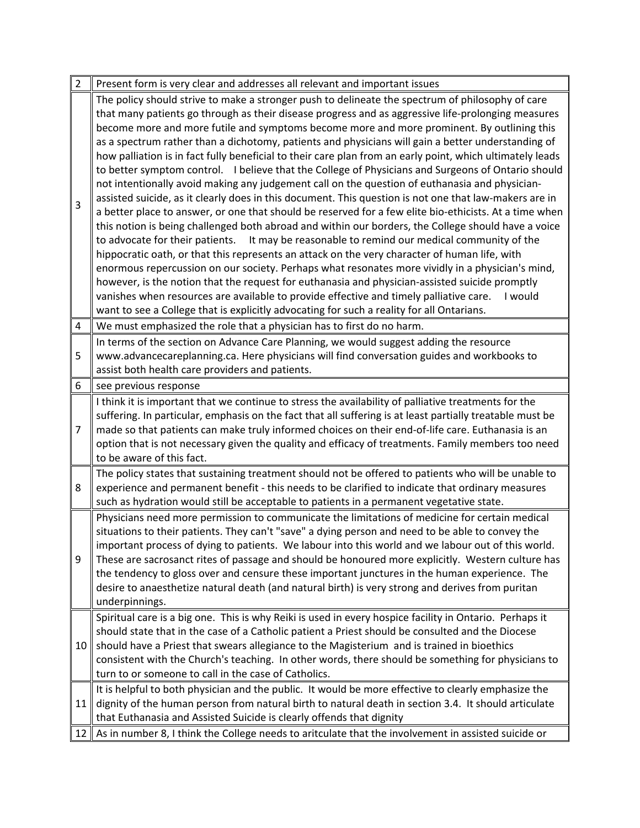| $\overline{2}$ | Present form is very clear and addresses all relevant and important issues                                |
|----------------|-----------------------------------------------------------------------------------------------------------|
|                | The policy should strive to make a stronger push to delineate the spectrum of philosophy of care          |
|                | that many patients go through as their disease progress and as aggressive life-prolonging measures        |
|                | become more and more futile and symptoms become more and more prominent. By outlining this                |
|                | as a spectrum rather than a dichotomy, patients and physicians will gain a better understanding of        |
|                | how palliation is in fact fully beneficial to their care plan from an early point, which ultimately leads |
|                | to better symptom control. I believe that the College of Physicians and Surgeons of Ontario should        |
|                | not intentionally avoid making any judgement call on the question of euthanasia and physician-            |
| 3              | assisted suicide, as it clearly does in this document. This question is not one that law-makers are in    |
|                | a better place to answer, or one that should be reserved for a few elite bio-ethicists. At a time when    |
|                | this notion is being challenged both abroad and within our borders, the College should have a voice       |
|                | to advocate for their patients.<br>It may be reasonable to remind our medical community of the            |
|                | hippocratic oath, or that this represents an attack on the very character of human life, with             |
|                | enormous repercussion on our society. Perhaps what resonates more vividly in a physician's mind,          |
|                | however, is the notion that the request for euthanasia and physician-assisted suicide promptly            |
|                | vanishes when resources are available to provide effective and timely palliative care.<br>I would         |
|                | want to see a College that is explicitly advocating for such a reality for all Ontarians.                 |
| 4              | We must emphasized the role that a physician has to first do no harm.                                     |
|                | In terms of the section on Advance Care Planning, we would suggest adding the resource                    |
| 5              | www.advancecareplanning.ca. Here physicians will find conversation guides and workbooks to                |
|                | assist both health care providers and patients.                                                           |
| 6              | see previous response                                                                                     |
|                | I think it is important that we continue to stress the availability of palliative treatments for the      |
|                | suffering. In particular, emphasis on the fact that all suffering is at least partially treatable must be |
| 7              | made so that patients can make truly informed choices on their end-of-life care. Euthanasia is an         |
|                | option that is not necessary given the quality and efficacy of treatments. Family members too need        |
|                | to be aware of this fact.                                                                                 |
|                | The policy states that sustaining treatment should not be offered to patients who will be unable to       |
| 8              | experience and permanent benefit - this needs to be clarified to indicate that ordinary measures          |
|                | such as hydration would still be acceptable to patients in a permanent vegetative state.                  |
|                | Physicians need more permission to communicate the limitations of medicine for certain medical            |
|                | situations to their patients. They can't "save" a dying person and need to be able to convey the          |
|                | important process of dying to patients. We labour into this world and we labour out of this world.        |
| 9              | These are sacrosanct rites of passage and should be honoured more explicitly. Western culture has         |
|                | the tendency to gloss over and censure these important junctures in the human experience. The             |
|                | desire to anaesthetize natural death (and natural birth) is very strong and derives from puritan          |
|                | underpinnings.                                                                                            |
|                | Spiritual care is a big one. This is why Reiki is used in every hospice facility in Ontario. Perhaps it   |
|                | should state that in the case of a Catholic patient a Priest should be consulted and the Diocese          |
| 10             | should have a Priest that swears allegiance to the Magisterium and is trained in bioethics                |
|                | consistent with the Church's teaching. In other words, there should be something for physicians to        |
|                | turn to or someone to call in the case of Catholics.                                                      |
| 11             | It is helpful to both physician and the public. It would be more effective to clearly emphasize the       |
|                | dignity of the human person from natural birth to natural death in section 3.4. It should articulate      |
|                | that Euthanasia and Assisted Suicide is clearly offends that dignity                                      |
| 12             | As in number 8, I think the College needs to aritculate that the involvement in assisted suicide or       |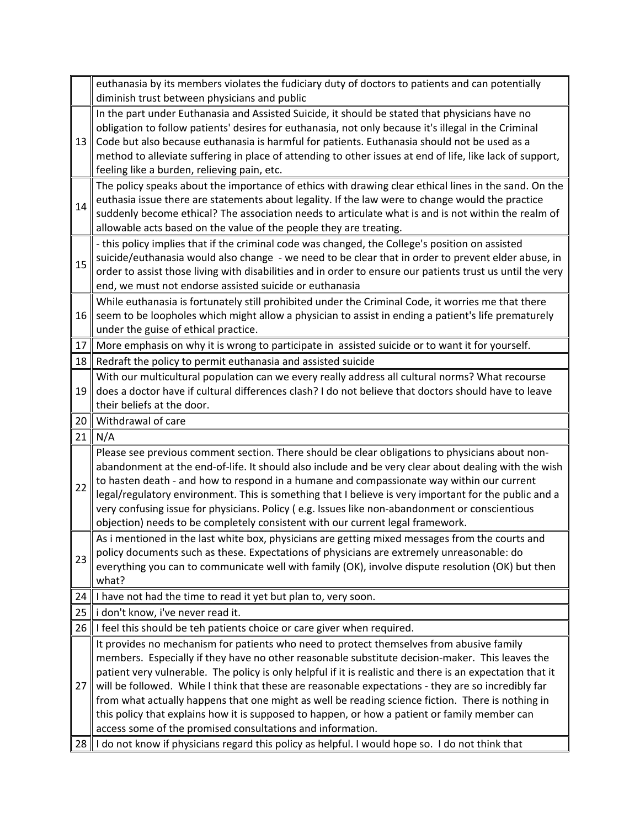|    | euthanasia by its members violates the fudiciary duty of doctors to patients and can potentially<br>diminish trust between physicians and public              |
|----|---------------------------------------------------------------------------------------------------------------------------------------------------------------|
|    | In the part under Euthanasia and Assisted Suicide, it should be stated that physicians have no                                                                |
|    | obligation to follow patients' desires for euthanasia, not only because it's illegal in the Criminal                                                          |
| 13 | Code but also because euthanasia is harmful for patients. Euthanasia should not be used as a                                                                  |
|    | method to alleviate suffering in place of attending to other issues at end of life, like lack of support,                                                     |
|    | feeling like a burden, relieving pain, etc.                                                                                                                   |
|    | The policy speaks about the importance of ethics with drawing clear ethical lines in the sand. On the                                                         |
|    | euthasia issue there are statements about legality. If the law were to change would the practice                                                              |
| 14 | suddenly become ethical? The association needs to articulate what is and is not within the realm of                                                           |
|    | allowable acts based on the value of the people they are treating.                                                                                            |
|    | - this policy implies that if the criminal code was changed, the College's position on assisted                                                               |
|    | suicide/euthanasia would also change - we need to be clear that in order to prevent elder abuse, in                                                           |
| 15 | order to assist those living with disabilities and in order to ensure our patients trust us until the very                                                    |
|    | end, we must not endorse assisted suicide or euthanasia                                                                                                       |
|    | While euthanasia is fortunately still prohibited under the Criminal Code, it worries me that there                                                            |
| 16 | seem to be loopholes which might allow a physician to assist in ending a patient's life prematurely                                                           |
|    | under the guise of ethical practice.                                                                                                                          |
| 17 | More emphasis on why it is wrong to participate in assisted suicide or to want it for yourself.                                                               |
| 18 | Redraft the policy to permit euthanasia and assisted suicide                                                                                                  |
|    | With our multicultural population can we every really address all cultural norms? What recourse                                                               |
| 19 | does a doctor have if cultural differences clash? I do not believe that doctors should have to leave                                                          |
|    | their beliefs at the door.                                                                                                                                    |
|    |                                                                                                                                                               |
|    |                                                                                                                                                               |
| 20 | Withdrawal of care                                                                                                                                            |
| 21 | N/A                                                                                                                                                           |
|    | Please see previous comment section. There should be clear obligations to physicians about non-                                                               |
|    | abandonment at the end-of-life. It should also include and be very clear about dealing with the wish                                                          |
| 22 | to hasten death - and how to respond in a humane and compassionate way within our current                                                                     |
|    | legal/regulatory environment. This is something that I believe is very important for the public and a                                                         |
|    | very confusing issue for physicians. Policy (e.g. Issues like non-abandonment or conscientious                                                                |
|    | objection) needs to be completely consistent with our current legal framework.                                                                                |
|    | As i mentioned in the last white box, physicians are getting mixed messages from the courts and                                                               |
| 23 | policy documents such as these. Expectations of physicians are extremely unreasonable: do                                                                     |
|    | everything you can to communicate well with family (OK), involve dispute resolution (OK) but then                                                             |
|    | what?                                                                                                                                                         |
| 24 | I have not had the time to read it yet but plan to, very soon.                                                                                                |
| 25 | i don't know, i've never read it.                                                                                                                             |
| 26 | I feel this should be teh patients choice or care giver when required.                                                                                        |
|    | It provides no mechanism for patients who need to protect themselves from abusive family                                                                      |
|    | members. Especially if they have no other reasonable substitute decision-maker. This leaves the                                                               |
|    | patient very vulnerable. The policy is only helpful if it is realistic and there is an expectation that it                                                    |
| 27 | will be followed. While I think that these are reasonable expectations - they are so incredibly far                                                           |
|    | from what actually happens that one might as well be reading science fiction. There is nothing in                                                             |
|    | this policy that explains how it is supposed to happen, or how a patient or family member can                                                                 |
| 28 | access some of the promised consultations and information.<br>I do not know if physicians regard this policy as helpful. I would hope so. I do not think that |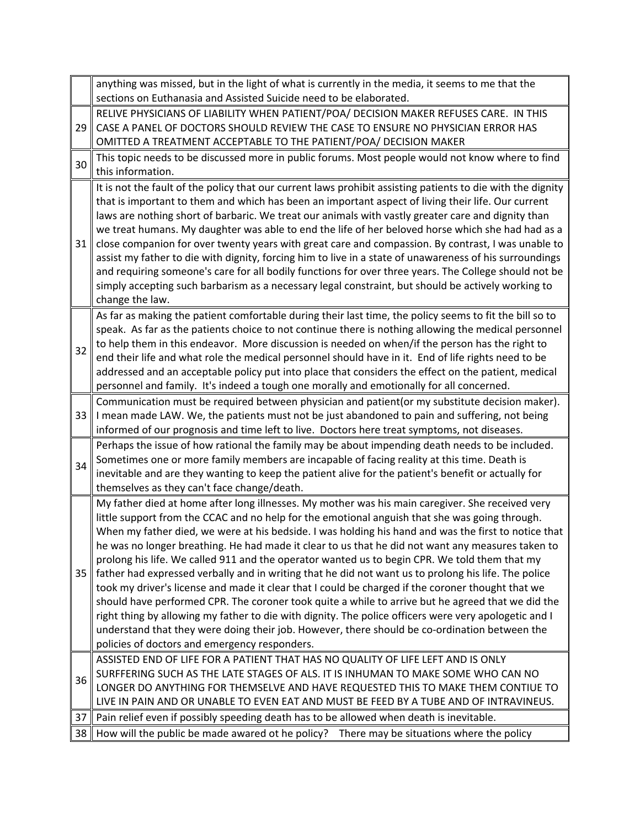|    | anything was missed, but in the light of what is currently in the media, it seems to me that the                                                                                                                                                                                                                                                                                                                                                                                                                                                                                                                                                                                                                                                                                                                                                                                                                                                                                                                                                                                              |
|----|-----------------------------------------------------------------------------------------------------------------------------------------------------------------------------------------------------------------------------------------------------------------------------------------------------------------------------------------------------------------------------------------------------------------------------------------------------------------------------------------------------------------------------------------------------------------------------------------------------------------------------------------------------------------------------------------------------------------------------------------------------------------------------------------------------------------------------------------------------------------------------------------------------------------------------------------------------------------------------------------------------------------------------------------------------------------------------------------------|
|    | sections on Euthanasia and Assisted Suicide need to be elaborated.                                                                                                                                                                                                                                                                                                                                                                                                                                                                                                                                                                                                                                                                                                                                                                                                                                                                                                                                                                                                                            |
| 29 | RELIVE PHYSICIANS OF LIABILITY WHEN PATIENT/POA/ DECISION MAKER REFUSES CARE. IN THIS<br>CASE A PANEL OF DOCTORS SHOULD REVIEW THE CASE TO ENSURE NO PHYSICIAN ERROR HAS<br>OMITTED A TREATMENT ACCEPTABLE TO THE PATIENT/POA/ DECISION MAKER                                                                                                                                                                                                                                                                                                                                                                                                                                                                                                                                                                                                                                                                                                                                                                                                                                                 |
| 30 | This topic needs to be discussed more in public forums. Most people would not know where to find<br>this information.                                                                                                                                                                                                                                                                                                                                                                                                                                                                                                                                                                                                                                                                                                                                                                                                                                                                                                                                                                         |
| 31 | It is not the fault of the policy that our current laws prohibit assisting patients to die with the dignity<br>that is important to them and which has been an important aspect of living their life. Our current<br>laws are nothing short of barbaric. We treat our animals with vastly greater care and dignity than<br>we treat humans. My daughter was able to end the life of her beloved horse which she had had as a<br>close companion for over twenty years with great care and compassion. By contrast, I was unable to<br>assist my father to die with dignity, forcing him to live in a state of unawareness of his surroundings<br>and requiring someone's care for all bodily functions for over three years. The College should not be<br>simply accepting such barbarism as a necessary legal constraint, but should be actively working to<br>change the law.                                                                                                                                                                                                               |
| 32 | As far as making the patient comfortable during their last time, the policy seems to fit the bill so to<br>speak. As far as the patients choice to not continue there is nothing allowing the medical personnel<br>to help them in this endeavor. More discussion is needed on when/if the person has the right to<br>end their life and what role the medical personnel should have in it. End of life rights need to be<br>addressed and an acceptable policy put into place that considers the effect on the patient, medical<br>personnel and family. It's indeed a tough one morally and emotionally for all concerned.                                                                                                                                                                                                                                                                                                                                                                                                                                                                  |
| 33 | Communication must be required between physician and patient(or my substitute decision maker).<br>I mean made LAW. We, the patients must not be just abandoned to pain and suffering, not being<br>informed of our prognosis and time left to live. Doctors here treat symptoms, not diseases.                                                                                                                                                                                                                                                                                                                                                                                                                                                                                                                                                                                                                                                                                                                                                                                                |
| 34 | Perhaps the issue of how rational the family may be about impending death needs to be included.<br>Sometimes one or more family members are incapable of facing reality at this time. Death is<br>inevitable and are they wanting to keep the patient alive for the patient's benefit or actually for<br>themselves as they can't face change/death.                                                                                                                                                                                                                                                                                                                                                                                                                                                                                                                                                                                                                                                                                                                                          |
| 35 | My father died at home after long illnesses. My mother was his main caregiver. She received very<br>little support from the CCAC and no help for the emotional anguish that she was going through.<br>When my father died, we were at his bedside. I was holding his hand and was the first to notice that<br>he was no longer breathing. He had made it clear to us that he did not want any measures taken to<br>prolong his life. We called 911 and the operator wanted us to begin CPR. We told them that my<br>father had expressed verbally and in writing that he did not want us to prolong his life. The police<br>took my driver's license and made it clear that I could be charged if the coroner thought that we<br>should have performed CPR. The coroner took quite a while to arrive but he agreed that we did the<br>right thing by allowing my father to die with dignity. The police officers were very apologetic and I<br>understand that they were doing their job. However, there should be co-ordination between the<br>policies of doctors and emergency responders. |
| 36 | ASSISTED END OF LIFE FOR A PATIENT THAT HAS NO QUALITY OF LIFE LEFT AND IS ONLY<br>SURFFERING SUCH AS THE LATE STAGES OF ALS. IT IS INHUMAN TO MAKE SOME WHO CAN NO<br>LONGER DO ANYTHING FOR THEMSELVE AND HAVE REQUESTED THIS TO MAKE THEM CONTIUE TO<br>LIVE IN PAIN AND OR UNABLE TO EVEN EAT AND MUST BE FEED BY A TUBE AND OF INTRAVINEUS.                                                                                                                                                                                                                                                                                                                                                                                                                                                                                                                                                                                                                                                                                                                                              |
| 37 | Pain relief even if possibly speeding death has to be allowed when death is inevitable.                                                                                                                                                                                                                                                                                                                                                                                                                                                                                                                                                                                                                                                                                                                                                                                                                                                                                                                                                                                                       |
| 38 | How will the public be made awared ot he policy?<br>There may be situations where the policy                                                                                                                                                                                                                                                                                                                                                                                                                                                                                                                                                                                                                                                                                                                                                                                                                                                                                                                                                                                                  |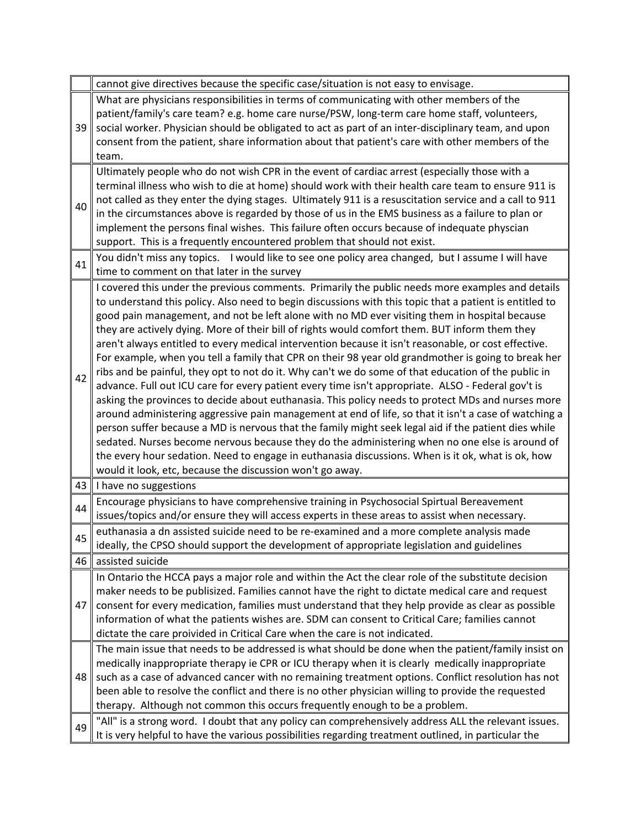|    | cannot give directives because the specific case/situation is not easy to envisage.                                                                                                                                                                                                                                                                                                                                                                                                                                                                                                                                                                                                                                                                                                                                                                                                                                                                                                                                                                                                                                                                                                                                                                                                                                                                                                                                                  |
|----|--------------------------------------------------------------------------------------------------------------------------------------------------------------------------------------------------------------------------------------------------------------------------------------------------------------------------------------------------------------------------------------------------------------------------------------------------------------------------------------------------------------------------------------------------------------------------------------------------------------------------------------------------------------------------------------------------------------------------------------------------------------------------------------------------------------------------------------------------------------------------------------------------------------------------------------------------------------------------------------------------------------------------------------------------------------------------------------------------------------------------------------------------------------------------------------------------------------------------------------------------------------------------------------------------------------------------------------------------------------------------------------------------------------------------------------|
| 39 | What are physicians responsibilities in terms of communicating with other members of the<br>patient/family's care team? e.g. home care nurse/PSW, long-term care home staff, volunteers,<br>social worker. Physician should be obligated to act as part of an inter-disciplinary team, and upon<br>consent from the patient, share information about that patient's care with other members of the<br>team.                                                                                                                                                                                                                                                                                                                                                                                                                                                                                                                                                                                                                                                                                                                                                                                                                                                                                                                                                                                                                          |
| 40 | Ultimately people who do not wish CPR in the event of cardiac arrest (especially those with a<br>terminal illness who wish to die at home) should work with their health care team to ensure 911 is<br>not called as they enter the dying stages. Ultimately 911 is a resuscitation service and a call to 911<br>in the circumstances above is regarded by those of us in the EMS business as a failure to plan or<br>implement the persons final wishes. This failure often occurs because of indequate physcian<br>support. This is a frequently encountered problem that should not exist.                                                                                                                                                                                                                                                                                                                                                                                                                                                                                                                                                                                                                                                                                                                                                                                                                                        |
| 41 | You didn't miss any topics. I would like to see one policy area changed, but I assume I will have<br>time to comment on that later in the survey                                                                                                                                                                                                                                                                                                                                                                                                                                                                                                                                                                                                                                                                                                                                                                                                                                                                                                                                                                                                                                                                                                                                                                                                                                                                                     |
| 42 | I covered this under the previous comments. Primarily the public needs more examples and details<br>to understand this policy. Also need to begin discussions with this topic that a patient is entitled to<br>good pain management, and not be left alone with no MD ever visiting them in hospital because<br>they are actively dying. More of their bill of rights would comfort them. BUT inform them they<br>aren't always entitled to every medical intervention because it isn't reasonable, or cost effective.<br>For example, when you tell a family that CPR on their 98 year old grandmother is going to break her<br>ribs and be painful, they opt to not do it. Why can't we do some of that education of the public in<br>advance. Full out ICU care for every patient every time isn't appropriate. ALSO - Federal gov't is<br>asking the provinces to decide about euthanasia. This policy needs to protect MDs and nurses more<br>around administering aggressive pain management at end of life, so that it isn't a case of watching a<br>person suffer because a MD is nervous that the family might seek legal aid if the patient dies while<br>sedated. Nurses become nervous because they do the administering when no one else is around of<br>the every hour sedation. Need to engage in euthanasia discussions. When is it ok, what is ok, how<br>would it look, etc, because the discussion won't go away. |
| 43 | I have no suggestions                                                                                                                                                                                                                                                                                                                                                                                                                                                                                                                                                                                                                                                                                                                                                                                                                                                                                                                                                                                                                                                                                                                                                                                                                                                                                                                                                                                                                |
| 44 | Encourage physicians to have comprehensive training in Psychosocial Spirtual Bereavement<br>issues/topics and/or ensure they will access experts in these areas to assist when necessary.                                                                                                                                                                                                                                                                                                                                                                                                                                                                                                                                                                                                                                                                                                                                                                                                                                                                                                                                                                                                                                                                                                                                                                                                                                            |
| 45 | euthanasia a dn assisted suicide need to be re-examined and a more complete analysis made<br>ideally, the CPSO should support the development of appropriate legislation and guidelines                                                                                                                                                                                                                                                                                                                                                                                                                                                                                                                                                                                                                                                                                                                                                                                                                                                                                                                                                                                                                                                                                                                                                                                                                                              |
| 46 | assisted suicide                                                                                                                                                                                                                                                                                                                                                                                                                                                                                                                                                                                                                                                                                                                                                                                                                                                                                                                                                                                                                                                                                                                                                                                                                                                                                                                                                                                                                     |
| 47 | In Ontario the HCCA pays a major role and within the Act the clear role of the substitute decision<br>maker needs to be publisized. Families cannot have the right to dictate medical care and request<br>consent for every medication, families must understand that they help provide as clear as possible<br>information of what the patients wishes are. SDM can consent to Critical Care; families cannot<br>dictate the care proivided in Critical Care when the care is not indicated.                                                                                                                                                                                                                                                                                                                                                                                                                                                                                                                                                                                                                                                                                                                                                                                                                                                                                                                                        |
| 48 | The main issue that needs to be addressed is what should be done when the patient/family insist on<br>medically inappropriate therapy ie CPR or ICU therapy when it is clearly medically inappropriate<br>such as a case of advanced cancer with no remaining treatment options. Conflict resolution has not<br>been able to resolve the conflict and there is no other physician willing to provide the requested<br>therapy. Although not common this occurs frequently enough to be a problem.                                                                                                                                                                                                                                                                                                                                                                                                                                                                                                                                                                                                                                                                                                                                                                                                                                                                                                                                    |
| 49 | "All" is a strong word. I doubt that any policy can comprehensively address ALL the relevant issues.<br>It is very helpful to have the various possibilities regarding treatment outlined, in particular the                                                                                                                                                                                                                                                                                                                                                                                                                                                                                                                                                                                                                                                                                                                                                                                                                                                                                                                                                                                                                                                                                                                                                                                                                         |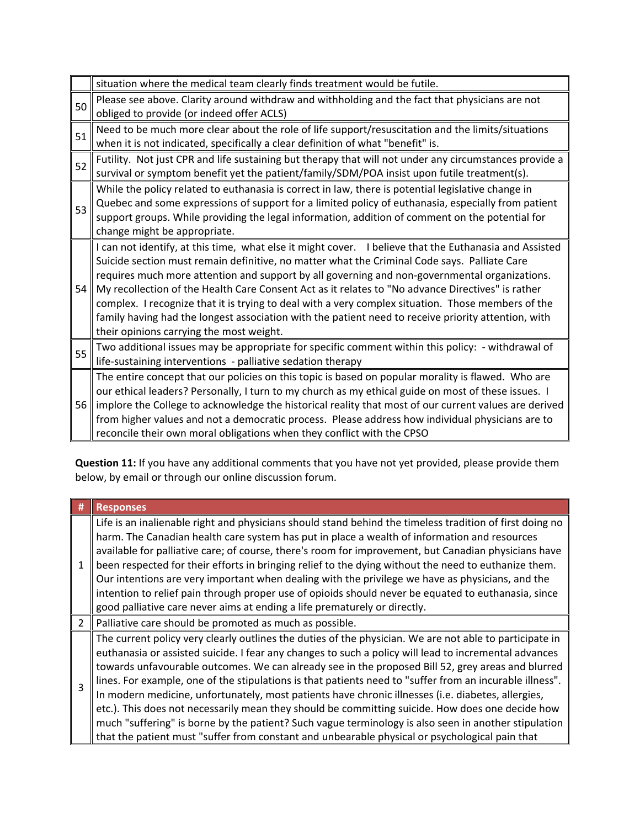|    | situation where the medical team clearly finds treatment would be futile.                              |
|----|--------------------------------------------------------------------------------------------------------|
| 50 | Please see above. Clarity around withdraw and withholding and the fact that physicians are not         |
|    | obliged to provide (or indeed offer ACLS)                                                              |
| 51 | Need to be much more clear about the role of life support/resuscitation and the limits/situations      |
|    | when it is not indicated, specifically a clear definition of what "benefit" is.                        |
| 52 | Futility. Not just CPR and life sustaining but therapy that will not under any circumstances provide a |
|    | survival or symptom benefit yet the patient/family/SDM/POA insist upon futile treatment(s).            |
|    | While the policy related to euthanasia is correct in law, there is potential legislative change in     |
| 53 | Quebec and some expressions of support for a limited policy of euthanasia, especially from patient     |
|    | support groups. While providing the legal information, addition of comment on the potential for        |
|    | change might be appropriate.                                                                           |
|    | I can not identify, at this time, what else it might cover. I believe that the Euthanasia and Assisted |
|    | Suicide section must remain definitive, no matter what the Criminal Code says. Palliate Care           |
|    | requires much more attention and support by all governing and non-governmental organizations.          |
| 54 | My recollection of the Health Care Consent Act as it relates to "No advance Directives" is rather      |
|    | complex. I recognize that it is trying to deal with a very complex situation. Those members of the     |
|    | family having had the longest association with the patient need to receive priority attention, with    |
|    | their opinions carrying the most weight.                                                               |
| 55 | Two additional issues may be appropriate for specific comment within this policy: - withdrawal of      |
|    | life-sustaining interventions - palliative sedation therapy                                            |
|    | The entire concept that our policies on this topic is based on popular morality is flawed. Who are     |
| 56 | our ethical leaders? Personally, I turn to my church as my ethical guide on most of these issues. I    |
|    | implore the College to acknowledge the historical reality that most of our current values are derived  |
|    | from higher values and not a democratic process. Please address how individual physicians are to       |
|    | reconcile their own moral obligations when they conflict with the CPSO                                 |

**Question 11:** If you have any additional comments that you have not yet provided, please provide them below, by email or through our online discussion forum.

|                | <b>Responses</b>                                                                                                                                                                                                                                                                                                                                                                                                                                                                                                                                                                                                                                                                                                                                                                                                                                      |
|----------------|-------------------------------------------------------------------------------------------------------------------------------------------------------------------------------------------------------------------------------------------------------------------------------------------------------------------------------------------------------------------------------------------------------------------------------------------------------------------------------------------------------------------------------------------------------------------------------------------------------------------------------------------------------------------------------------------------------------------------------------------------------------------------------------------------------------------------------------------------------|
| 1              | Life is an inalienable right and physicians should stand behind the timeless tradition of first doing no<br>harm. The Canadian health care system has put in place a wealth of information and resources<br>available for palliative care; of course, there's room for improvement, but Canadian physicians have<br>been respected for their efforts in bringing relief to the dying without the need to euthanize them.<br>Our intentions are very important when dealing with the privilege we have as physicians, and the<br>intention to relief pain through proper use of opioids should never be equated to euthanasia, since<br>good palliative care never aims at ending a life prematurely or directly.                                                                                                                                      |
| $\overline{2}$ | Palliative care should be promoted as much as possible.                                                                                                                                                                                                                                                                                                                                                                                                                                                                                                                                                                                                                                                                                                                                                                                               |
| 3              | The current policy very clearly outlines the duties of the physician. We are not able to participate in<br>euthanasia or assisted suicide. I fear any changes to such a policy will lead to incremental advances<br>towards unfavourable outcomes. We can already see in the proposed Bill 52, grey areas and blurred<br>lines. For example, one of the stipulations is that patients need to "suffer from an incurable illness".<br>In modern medicine, unfortunately, most patients have chronic illnesses (i.e. diabetes, allergies,<br>etc.). This does not necessarily mean they should be committing suicide. How does one decide how<br>much "suffering" is borne by the patient? Such vague terminology is also seen in another stipulation<br>that the patient must "suffer from constant and unbearable physical or psychological pain that |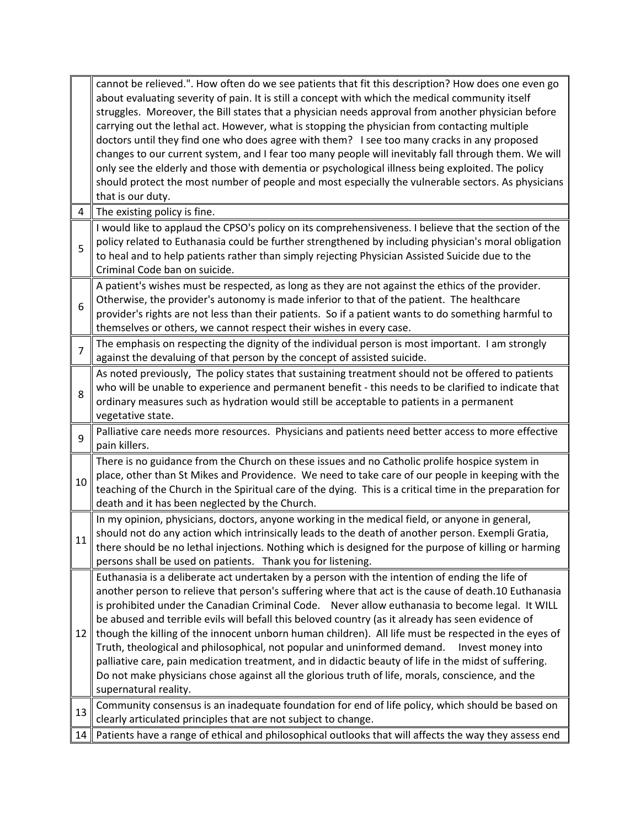|                | cannot be relieved.". How often do we see patients that fit this description? How does one even go                                                                                                                                                                                                                                                |
|----------------|---------------------------------------------------------------------------------------------------------------------------------------------------------------------------------------------------------------------------------------------------------------------------------------------------------------------------------------------------|
|                | about evaluating severity of pain. It is still a concept with which the medical community itself                                                                                                                                                                                                                                                  |
|                | struggles. Moreover, the Bill states that a physician needs approval from another physician before                                                                                                                                                                                                                                                |
|                | carrying out the lethal act. However, what is stopping the physician from contacting multiple                                                                                                                                                                                                                                                     |
|                | doctors until they find one who does agree with them? I see too many cracks in any proposed                                                                                                                                                                                                                                                       |
|                | changes to our current system, and I fear too many people will inevitably fall through them. We will                                                                                                                                                                                                                                              |
|                | only see the elderly and those with dementia or psychological illness being exploited. The policy                                                                                                                                                                                                                                                 |
|                | should protect the most number of people and most especially the vulnerable sectors. As physicians                                                                                                                                                                                                                                                |
|                | that is our duty.                                                                                                                                                                                                                                                                                                                                 |
| 4              | The existing policy is fine.                                                                                                                                                                                                                                                                                                                      |
| 5              | I would like to applaud the CPSO's policy on its comprehensiveness. I believe that the section of the<br>policy related to Euthanasia could be further strengthened by including physician's moral obligation<br>to heal and to help patients rather than simply rejecting Physician Assisted Suicide due to the<br>Criminal Code ban on suicide. |
|                | A patient's wishes must be respected, as long as they are not against the ethics of the provider.                                                                                                                                                                                                                                                 |
| 6              | Otherwise, the provider's autonomy is made inferior to that of the patient. The healthcare                                                                                                                                                                                                                                                        |
|                | provider's rights are not less than their patients. So if a patient wants to do something harmful to                                                                                                                                                                                                                                              |
|                | themselves or others, we cannot respect their wishes in every case.                                                                                                                                                                                                                                                                               |
| $\overline{7}$ | The emphasis on respecting the dignity of the individual person is most important. I am strongly                                                                                                                                                                                                                                                  |
|                | against the devaluing of that person by the concept of assisted suicide.                                                                                                                                                                                                                                                                          |
|                | As noted previously, The policy states that sustaining treatment should not be offered to patients                                                                                                                                                                                                                                                |
| 8              | who will be unable to experience and permanent benefit - this needs to be clarified to indicate that                                                                                                                                                                                                                                              |
|                | ordinary measures such as hydration would still be acceptable to patients in a permanent                                                                                                                                                                                                                                                          |
|                | vegetative state.                                                                                                                                                                                                                                                                                                                                 |
| 9              | Palliative care needs more resources. Physicians and patients need better access to more effective                                                                                                                                                                                                                                                |
|                | pain killers.                                                                                                                                                                                                                                                                                                                                     |
|                | There is no guidance from the Church on these issues and no Catholic prolife hospice system in                                                                                                                                                                                                                                                    |
| 10             | place, other than St Mikes and Providence. We need to take care of our people in keeping with the                                                                                                                                                                                                                                                 |
|                | teaching of the Church in the Spiritual care of the dying. This is a critical time in the preparation for                                                                                                                                                                                                                                         |
|                | death and it has been neglected by the Church.                                                                                                                                                                                                                                                                                                    |
|                | In my opinion, physicians, doctors, anyone working in the medical field, or anyone in general,                                                                                                                                                                                                                                                    |
| 11             | should not do any action which intrinsically leads to the death of another person. Exempli Gratia,                                                                                                                                                                                                                                                |
|                | there should be no lethal injections. Nothing which is designed for the purpose of killing or harming                                                                                                                                                                                                                                             |
|                | persons shall be used on patients. Thank you for listening.                                                                                                                                                                                                                                                                                       |
|                | Euthanasia is a deliberate act undertaken by a person with the intention of ending the life of                                                                                                                                                                                                                                                    |
|                | another person to relieve that person's suffering where that act is the cause of death.10 Euthanasia                                                                                                                                                                                                                                              |
|                | is prohibited under the Canadian Criminal Code. Never allow euthanasia to become legal. It WILL                                                                                                                                                                                                                                                   |
|                | be abused and terrible evils will befall this beloved country (as it already has seen evidence of                                                                                                                                                                                                                                                 |
| 12             | though the killing of the innocent unborn human children). All life must be respected in the eyes of                                                                                                                                                                                                                                              |
|                | Truth, theological and philosophical, not popular and uninformed demand.<br>Invest money into                                                                                                                                                                                                                                                     |
|                | palliative care, pain medication treatment, and in didactic beauty of life in the midst of suffering.                                                                                                                                                                                                                                             |
|                | Do not make physicians chose against all the glorious truth of life, morals, conscience, and the                                                                                                                                                                                                                                                  |
|                | supernatural reality.                                                                                                                                                                                                                                                                                                                             |
| 13             | Community consensus is an inadequate foundation for end of life policy, which should be based on                                                                                                                                                                                                                                                  |
|                | clearly articulated principles that are not subject to change.                                                                                                                                                                                                                                                                                    |
| 14             | Patients have a range of ethical and philosophical outlooks that will affects the way they assess end                                                                                                                                                                                                                                             |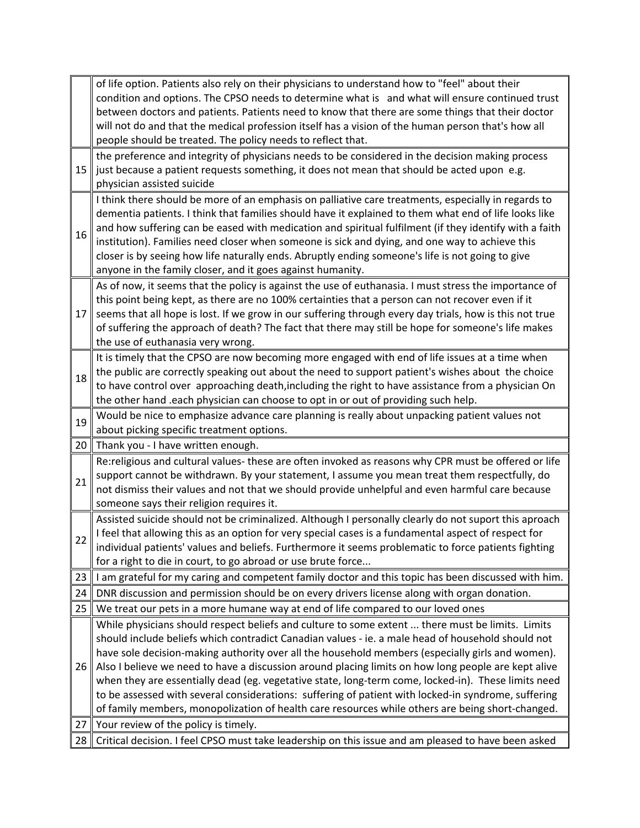|    | of life option. Patients also rely on their physicians to understand how to "feel" about their                                                                                                           |
|----|----------------------------------------------------------------------------------------------------------------------------------------------------------------------------------------------------------|
|    | condition and options. The CPSO needs to determine what is and what will ensure continued trust                                                                                                          |
|    | between doctors and patients. Patients need to know that there are some things that their doctor                                                                                                         |
|    | will not do and that the medical profession itself has a vision of the human person that's how all                                                                                                       |
|    | people should be treated. The policy needs to reflect that.                                                                                                                                              |
|    | the preference and integrity of physicians needs to be considered in the decision making process                                                                                                         |
| 15 | just because a patient requests something, it does not mean that should be acted upon e.g.                                                                                                               |
|    | physician assisted suicide                                                                                                                                                                               |
|    | I think there should be more of an emphasis on palliative care treatments, especially in regards to                                                                                                      |
|    | dementia patients. I think that families should have it explained to them what end of life looks like                                                                                                    |
| 16 | and how suffering can be eased with medication and spiritual fulfilment (if they identify with a faith<br>institution). Families need closer when someone is sick and dying, and one way to achieve this |
|    | closer is by seeing how life naturally ends. Abruptly ending someone's life is not going to give                                                                                                         |
|    | anyone in the family closer, and it goes against humanity.                                                                                                                                               |
|    | As of now, it seems that the policy is against the use of euthanasia. I must stress the importance of                                                                                                    |
|    | this point being kept, as there are no 100% certainties that a person can not recover even if it                                                                                                         |
| 17 | seems that all hope is lost. If we grow in our suffering through every day trials, how is this not true                                                                                                  |
|    | of suffering the approach of death? The fact that there may still be hope for someone's life makes                                                                                                       |
|    | the use of euthanasia very wrong.                                                                                                                                                                        |
|    | It is timely that the CPSO are now becoming more engaged with end of life issues at a time when                                                                                                          |
| 18 | the public are correctly speaking out about the need to support patient's wishes about the choice                                                                                                        |
|    | to have control over approaching death, including the right to have assistance from a physician On                                                                                                       |
|    | the other hand .each physician can choose to opt in or out of providing such help.                                                                                                                       |
| 19 | Would be nice to emphasize advance care planning is really about unpacking patient values not                                                                                                            |
|    | about picking specific treatment options.                                                                                                                                                                |
| 20 | Thank you - I have written enough.                                                                                                                                                                       |
|    | Re:religious and cultural values- these are often invoked as reasons why CPR must be offered or life                                                                                                     |
| 21 | support cannot be withdrawn. By your statement, I assume you mean treat them respectfully, do                                                                                                            |
|    | not dismiss their values and not that we should provide unhelpful and even harmful care because                                                                                                          |
|    | someone says their religion requires it.                                                                                                                                                                 |
|    | Assisted suicide should not be criminalized. Although I personally clearly do not suport this aproach                                                                                                    |
| 22 | I feel that allowing this as an option for very special cases is a fundamental aspect of respect for                                                                                                     |
|    | individual patients' values and beliefs. Furthermore it seems problematic to force patients fighting<br>for a right to die in court, to go abroad or use brute force                                     |
| 23 |                                                                                                                                                                                                          |
| 24 | I am grateful for my caring and competent family doctor and this topic has been discussed with him.                                                                                                      |
| 25 | DNR discussion and permission should be on every drivers license along with organ donation.                                                                                                              |
|    | We treat our pets in a more humane way at end of life compared to our loved ones                                                                                                                         |
|    | While physicians should respect beliefs and culture to some extent  there must be limits. Limits<br>should include beliefs which contradict Canadian values - ie. a male head of household should not    |
|    | have sole decision-making authority over all the household members (especially girls and women).                                                                                                         |
| 26 | Also I believe we need to have a discussion around placing limits on how long people are kept alive                                                                                                      |
| 27 | when they are essentially dead (eg. vegetative state, long-term come, locked-in). These limits need                                                                                                      |
|    | to be assessed with several considerations: suffering of patient with locked-in syndrome, suffering                                                                                                      |
|    | of family members, monopolization of health care resources while others are being short-changed.                                                                                                         |
|    | Your review of the policy is timely.                                                                                                                                                                     |
|    |                                                                                                                                                                                                          |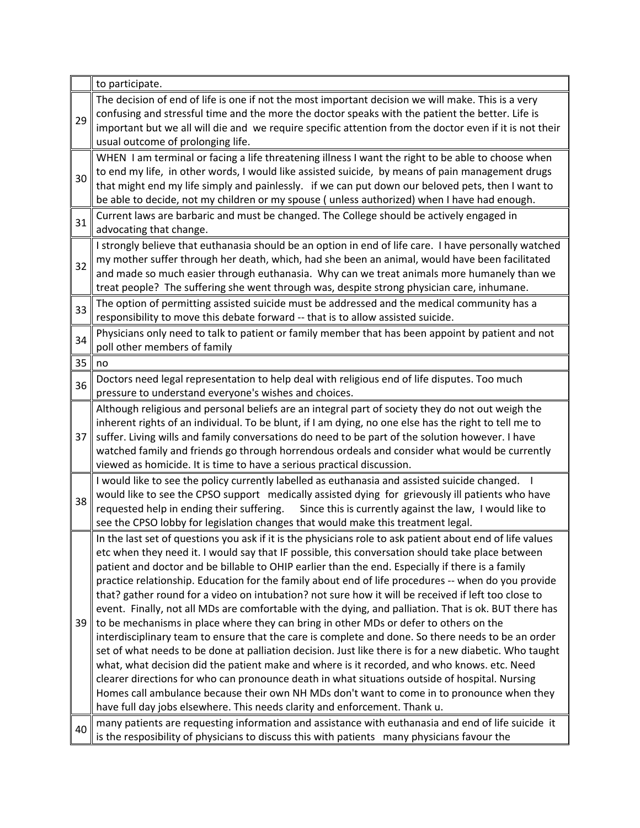|    | to participate.                                                                                           |
|----|-----------------------------------------------------------------------------------------------------------|
|    | The decision of end of life is one if not the most important decision we will make. This is a very        |
| 29 | confusing and stressful time and the more the doctor speaks with the patient the better. Life is          |
|    | important but we all will die and we require specific attention from the doctor even if it is not their   |
|    | usual outcome of prolonging life.                                                                         |
|    | WHEN I am terminal or facing a life threatening illness I want the right to be able to choose when        |
| 30 | to end my life, in other words, I would like assisted suicide, by means of pain management drugs          |
|    | that might end my life simply and painlessly. if we can put down our beloved pets, then I want to         |
|    | be able to decide, not my children or my spouse (unless authorized) when I have had enough.               |
| 31 | Current laws are barbaric and must be changed. The College should be actively engaged in                  |
|    | advocating that change.                                                                                   |
|    | I strongly believe that euthanasia should be an option in end of life care. I have personally watched     |
| 32 | my mother suffer through her death, which, had she been an animal, would have been facilitated            |
|    | and made so much easier through euthanasia. Why can we treat animals more humanely than we                |
|    | treat people? The suffering she went through was, despite strong physician care, inhumane.                |
|    | The option of permitting assisted suicide must be addressed and the medical community has a               |
| 33 | responsibility to move this debate forward -- that is to allow assisted suicide.                          |
|    | Physicians only need to talk to patient or family member that has been appoint by patient and not         |
| 34 | poll other members of family                                                                              |
| 35 | no                                                                                                        |
| 36 | Doctors need legal representation to help deal with religious end of life disputes. Too much              |
|    | pressure to understand everyone's wishes and choices.                                                     |
|    | Although religious and personal beliefs are an integral part of society they do not out weigh the         |
|    | inherent rights of an individual. To be blunt, if I am dying, no one else has the right to tell me to     |
| 37 | suffer. Living wills and family conversations do need to be part of the solution however. I have          |
|    | watched family and friends go through horrendous ordeals and consider what would be currently             |
|    | viewed as homicide. It is time to have a serious practical discussion.                                    |
|    | I would like to see the policy currently labelled as euthanasia and assisted suicide changed.             |
| 38 | would like to see the CPSO support medically assisted dying for grievously ill patients who have          |
|    | requested help in ending their suffering.<br>Since this is currently against the law, I would like to     |
|    | see the CPSO lobby for legislation changes that would make this treatment legal.                          |
|    | In the last set of questions you ask if it is the physicians role to ask patient about end of life values |
|    | etc when they need it. I would say that IF possible, this conversation should take place between          |
|    | patient and doctor and be billable to OHIP earlier than the end. Especially if there is a family          |
|    | practice relationship. Education for the family about end of life procedures -- when do you provide       |
|    | that? gather round for a video on intubation? not sure how it will be received if left too close to       |
|    | event. Finally, not all MDs are comfortable with the dying, and palliation. That is ok. BUT there has     |
| 39 | to be mechanisms in place where they can bring in other MDs or defer to others on the                     |
|    | interdisciplinary team to ensure that the care is complete and done. So there needs to be an order        |
|    | set of what needs to be done at palliation decision. Just like there is for a new diabetic. Who taught    |
|    | what, what decision did the patient make and where is it recorded, and who knows. etc. Need               |
|    | clearer directions for who can pronounce death in what situations outside of hospital. Nursing            |
|    | Homes call ambulance because their own NH MDs don't want to come in to pronounce when they                |
|    | have full day jobs elsewhere. This needs clarity and enforcement. Thank u.                                |
| 40 | many patients are requesting information and assistance with euthanasia and end of life suicide it        |
|    | is the resposibility of physicians to discuss this with patients many physicians favour the               |